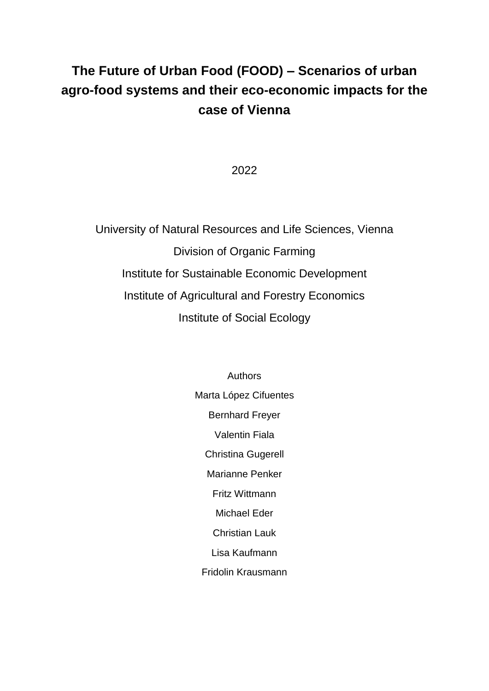# **The Future of Urban Food (FOOD) – Scenarios of urban agro-food systems and their eco-economic impacts for the case of Vienna**

2022

University of Natural Resources and Life Sciences, Vienna Division of Organic Farming Institute for Sustainable Economic Development Institute of Agricultural and Forestry Economics Institute of Social Ecology

> Authors Marta López Cifuentes Bernhard Freyer Valentin Fiala Christina Gugerell Marianne Penker Fritz Wittmann Michael Eder Christian Lauk Lisa Kaufmann Fridolin Krausmann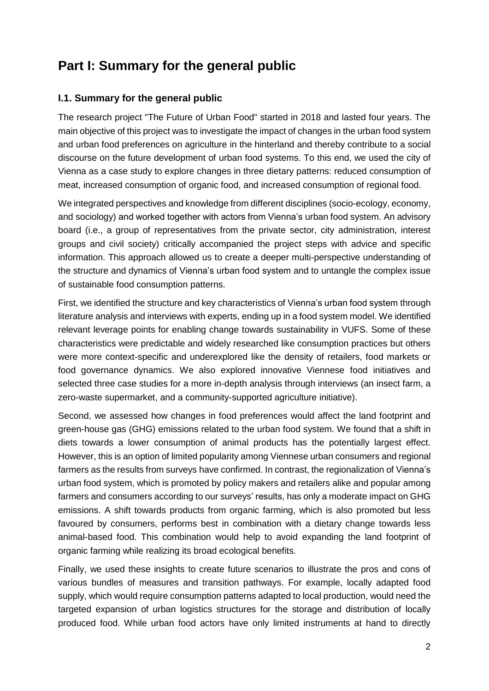# **Part I: Summary for the general public**

### **I.1. Summary for the general public**

The research project "The Future of Urban Food" started in 2018 and lasted four years. The main objective of this project was to investigate the impact of changes in the urban food system and urban food preferences on agriculture in the hinterland and thereby contribute to a social discourse on the future development of urban food systems. To this end, we used the city of Vienna as a case study to explore changes in three dietary patterns: reduced consumption of meat, increased consumption of organic food, and increased consumption of regional food.

We integrated perspectives and knowledge from different disciplines (socio-ecology, economy, and sociology) and worked together with actors from Vienna's urban food system. An advisory board (i.e., a group of representatives from the private sector, city administration, interest groups and civil society) critically accompanied the project steps with advice and specific information. This approach allowed us to create a deeper multi-perspective understanding of the structure and dynamics of Vienna's urban food system and to untangle the complex issue of sustainable food consumption patterns.

First, we identified the structure and key characteristics of Vienna's urban food system through literature analysis and interviews with experts, ending up in a food system model. We identified relevant leverage points for enabling change towards sustainability in VUFS. Some of these characteristics were predictable and widely researched like consumption practices but others were more context-specific and underexplored like the density of retailers, food markets or food governance dynamics. We also explored innovative Viennese food initiatives and selected three case studies for a more in-depth analysis through interviews (an insect farm, a zero-waste supermarket, and a community-supported agriculture initiative).

Second, we assessed how changes in food preferences would affect the land footprint and green-house gas (GHG) emissions related to the urban food system. We found that a shift in diets towards a lower consumption of animal products has the potentially largest effect. However, this is an option of limited popularity among Viennese urban consumers and regional farmers as the results from surveys have confirmed. In contrast, the regionalization of Vienna's urban food system, which is promoted by policy makers and retailers alike and popular among farmers and consumers according to our surveys' results, has only a moderate impact on GHG emissions. A shift towards products from organic farming, which is also promoted but less favoured by consumers, performs best in combination with a dietary change towards less animal-based food. This combination would help to avoid expanding the land footprint of organic farming while realizing its broad ecological benefits.

Finally, we used these insights to create future scenarios to illustrate the pros and cons of various bundles of measures and transition pathways. For example, locally adapted food supply, which would require consumption patterns adapted to local production, would need the targeted expansion of urban logistics structures for the storage and distribution of locally produced food. While urban food actors have only limited instruments at hand to directly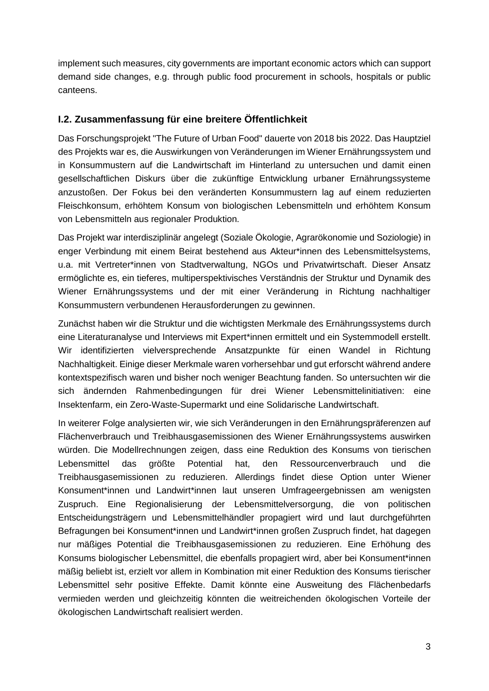implement such measures, city governments are important economic actors which can support demand side changes, e.g. through public food procurement in schools, hospitals or public canteens.

### **I.2. Zusammenfassung für eine breitere Öffentlichkeit**

Das Forschungsprojekt "The Future of Urban Food" dauerte von 2018 bis 2022. Das Hauptziel des Projekts war es, die Auswirkungen von Veränderungen im Wiener Ernährungssystem und in Konsummustern auf die Landwirtschaft im Hinterland zu untersuchen und damit einen gesellschaftlichen Diskurs über die zukünftige Entwicklung urbaner Ernährungssysteme anzustoßen. Der Fokus bei den veränderten Konsummustern lag auf einem reduzierten Fleischkonsum, erhöhtem Konsum von biologischen Lebensmitteln und erhöhtem Konsum von Lebensmitteln aus regionaler Produktion.

Das Projekt war interdisziplinär angelegt (Soziale Ökologie, Agrarökonomie und Soziologie) in enger Verbindung mit einem Beirat bestehend aus Akteur\*innen des Lebensmittelsystems, u.a. mit Vertreter\*innen von Stadtverwaltung, NGOs und Privatwirtschaft. Dieser Ansatz ermöglichte es, ein tieferes, multiperspektivisches Verständnis der Struktur und Dynamik des Wiener Ernährungssystems und der mit einer Veränderung in Richtung nachhaltiger Konsummustern verbundenen Herausforderungen zu gewinnen.

Zunächst haben wir die Struktur und die wichtigsten Merkmale des Ernährungssystems durch eine Literaturanalyse und Interviews mit Expert\*innen ermittelt und ein Systemmodell erstellt. Wir identifizierten vielversprechende Ansatzpunkte für einen Wandel in Richtung Nachhaltigkeit. Einige dieser Merkmale waren vorhersehbar und gut erforscht während andere kontextspezifisch waren und bisher noch weniger Beachtung fanden. So untersuchten wir die sich ändernden Rahmenbedingungen für drei Wiener Lebensmittelinitiativen: eine Insektenfarm, ein Zero-Waste-Supermarkt und eine Solidarische Landwirtschaft.

In weiterer Folge analysierten wir, wie sich Veränderungen in den Ernährungspräferenzen auf Flächenverbrauch und Treibhausgasemissionen des Wiener Ernährungssystems auswirken würden. Die Modellrechnungen zeigen, dass eine Reduktion des Konsums von tierischen Lebensmittel das größte Potential hat, den Ressourcenverbrauch und die Treibhausgasemissionen zu reduzieren. Allerdings findet diese Option unter Wiener Konsument\*innen und Landwirt\*innen laut unseren Umfrageergebnissen am wenigsten Zuspruch. Eine Regionalisierung der Lebensmittelversorgung, die von politischen Entscheidungsträgern und Lebensmittelhändler propagiert wird und laut durchgeführten Befragungen bei Konsument\*innen und Landwirt\*innen großen Zuspruch findet, hat dagegen nur mäßiges Potential die Treibhausgasemissionen zu reduzieren. Eine Erhöhung des Konsums biologischer Lebensmittel, die ebenfalls propagiert wird, aber bei Konsument\*innen mäßig beliebt ist, erzielt vor allem in Kombination mit einer Reduktion des Konsums tierischer Lebensmittel sehr positive Effekte. Damit könnte eine Ausweitung des Flächenbedarfs vermieden werden und gleichzeitig könnten die weitreichenden ökologischen Vorteile der ökologischen Landwirtschaft realisiert werden.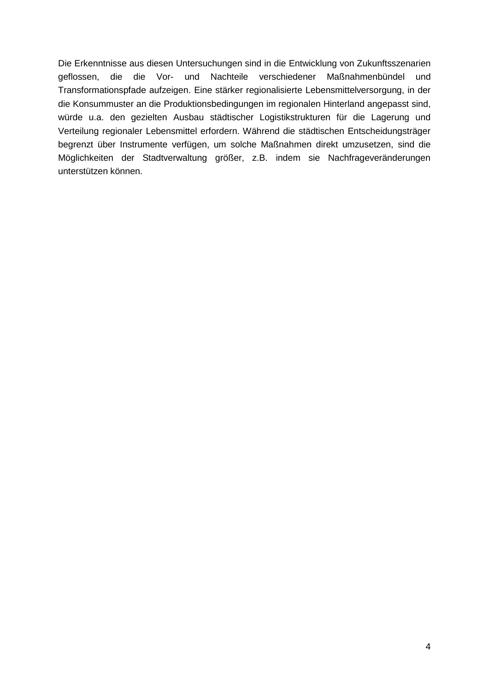Die Erkenntnisse aus diesen Untersuchungen sind in die Entwicklung von Zukunftsszenarien geflossen, die die Vor- und Nachteile verschiedener Maßnahmenbündel und Transformationspfade aufzeigen. Eine stärker regionalisierte Lebensmittelversorgung, in der die Konsummuster an die Produktionsbedingungen im regionalen Hinterland angepasst sind, würde u.a. den gezielten Ausbau städtischer Logistikstrukturen für die Lagerung und Verteilung regionaler Lebensmittel erfordern. Während die städtischen Entscheidungsträger begrenzt über Instrumente verfügen, um solche Maßnahmen direkt umzusetzen, sind die Möglichkeiten der Stadtverwaltung größer, z.B. indem sie Nachfrageveränderungen unterstützen können.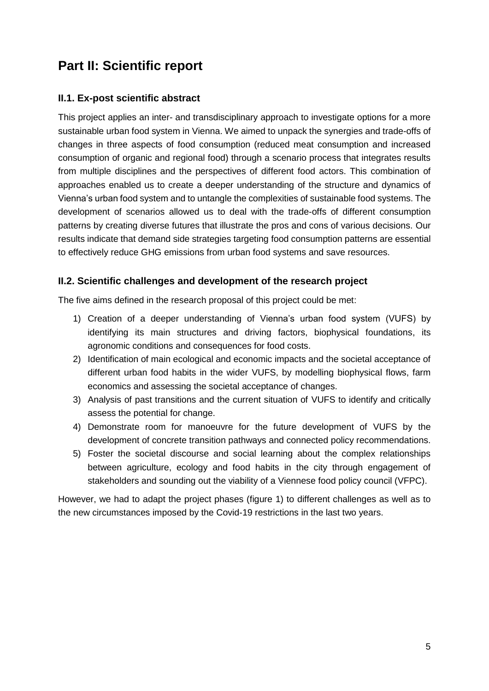# **Part II: Scientific report**

### **II.1. Ex-post scientific abstract**

This project applies an inter- and transdisciplinary approach to investigate options for a more sustainable urban food system in Vienna. We aimed to unpack the synergies and trade-offs of changes in three aspects of food consumption (reduced meat consumption and increased consumption of organic and regional food) through a scenario process that integrates results from multiple disciplines and the perspectives of different food actors. This combination of approaches enabled us to create a deeper understanding of the structure and dynamics of Vienna's urban food system and to untangle the complexities of sustainable food systems. The development of scenarios allowed us to deal with the trade-offs of different consumption patterns by creating diverse futures that illustrate the pros and cons of various decisions. Our results indicate that demand side strategies targeting food consumption patterns are essential to effectively reduce GHG emissions from urban food systems and save resources.

#### **II.2. Scientific challenges and development of the research project**

The five aims defined in the research proposal of this project could be met:

- 1) Creation of a deeper understanding of Vienna's urban food system (VUFS) by identifying its main structures and driving factors, biophysical foundations, its agronomic conditions and consequences for food costs.
- 2) Identification of main ecological and economic impacts and the societal acceptance of different urban food habits in the wider VUFS, by modelling biophysical flows, farm economics and assessing the societal acceptance of changes.
- 3) Analysis of past transitions and the current situation of VUFS to identify and critically assess the potential for change.
- 4) Demonstrate room for manoeuvre for the future development of VUFS by the development of concrete transition pathways and connected policy recommendations.
- 5) Foster the societal discourse and social learning about the complex relationships between agriculture, ecology and food habits in the city through engagement of stakeholders and sounding out the viability of a Viennese food policy council (VFPC).

However, we had to adapt the project phases (figure 1) to different challenges as well as to the new circumstances imposed by the Covid-19 restrictions in the last two years.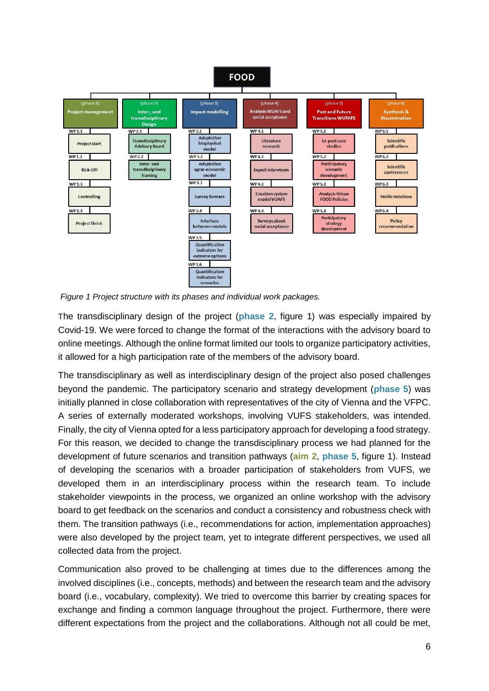

*Figure 1 Project structure with its phases and individual work packages.*

The transdisciplinary design of the project (**phase 2**, figure 1) was especially impaired by Covid-19. We were forced to change the format of the interactions with the advisory board to online meetings. Although the online format limited our tools to organize participatory activities, it allowed for a high participation rate of the members of the advisory board.

The transdisciplinary as well as interdisciplinary design of the project also posed challenges beyond the pandemic. The participatory scenario and strategy development (**phase 5**) was initially planned in close collaboration with representatives of the city of Vienna and the VFPC. A series of externally moderated workshops, involving VUFS stakeholders, was intended. Finally, the city of Vienna opted for a less participatory approach for developing a food strategy. For this reason, we decided to change the transdisciplinary process we had planned for the development of future scenarios and transition pathways (**aim 2**, **phase 5**, figure 1). Instead of developing the scenarios with a broader participation of stakeholders from VUFS, we developed them in an interdisciplinary process within the research team. To include stakeholder viewpoints in the process, we organized an online workshop with the advisory board to get feedback on the scenarios and conduct a consistency and robustness check with them. The transition pathways (i.e., recommendations for action, implementation approaches) were also developed by the project team, yet to integrate different perspectives, we used all collected data from the project.

Communication also proved to be challenging at times due to the differences among the involved disciplines (i.e., concepts, methods) and between the research team and the advisory board (i.e., vocabulary, complexity). We tried to overcome this barrier by creating spaces for exchange and finding a common language throughout the project. Furthermore, there were different expectations from the project and the collaborations. Although not all could be met,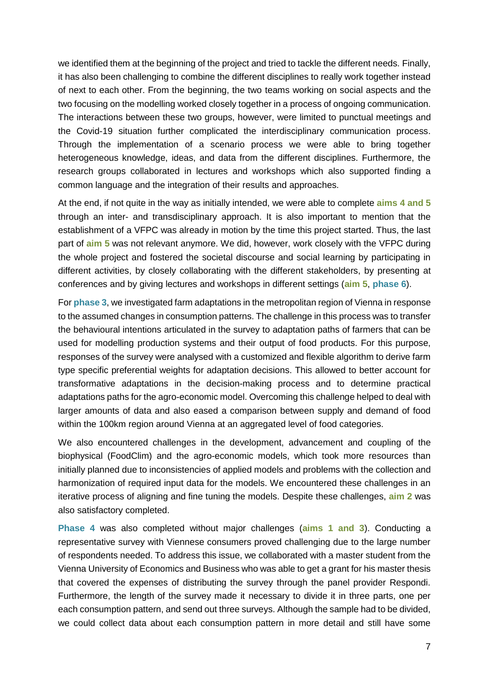we identified them at the beginning of the project and tried to tackle the different needs. Finally, it has also been challenging to combine the different disciplines to really work together instead of next to each other. From the beginning, the two teams working on social aspects and the two focusing on the modelling worked closely together in a process of ongoing communication. The interactions between these two groups, however, were limited to punctual meetings and the Covid-19 situation further complicated the interdisciplinary communication process. Through the implementation of a scenario process we were able to bring together heterogeneous knowledge, ideas, and data from the different disciplines. Furthermore, the research groups collaborated in lectures and workshops which also supported finding a common language and the integration of their results and approaches.

At the end, if not quite in the way as initially intended, we were able to complete **aims 4 and 5** through an inter- and transdisciplinary approach. It is also important to mention that the establishment of a VFPC was already in motion by the time this project started. Thus, the last part of **aim 5** was not relevant anymore. We did, however, work closely with the VFPC during the whole project and fostered the societal discourse and social learning by participating in different activities, by closely collaborating with the different stakeholders, by presenting at conferences and by giving lectures and workshops in different settings (**aim 5**, **phase 6**).

For **phase 3**, we investigated farm adaptations in the metropolitan region of Vienna in response to the assumed changes in consumption patterns. The challenge in this process was to transfer the behavioural intentions articulated in the survey to adaptation paths of farmers that can be used for modelling production systems and their output of food products. For this purpose, responses of the survey were analysed with a customized and flexible algorithm to derive farm type specific preferential weights for adaptation decisions. This allowed to better account for transformative adaptations in the decision-making process and to determine practical adaptations paths for the agro-economic model. Overcoming this challenge helped to deal with larger amounts of data and also eased a comparison between supply and demand of food within the 100km region around Vienna at an aggregated level of food categories.

We also encountered challenges in the development, advancement and coupling of the biophysical (FoodClim) and the agro-economic models, which took more resources than initially planned due to inconsistencies of applied models and problems with the collection and harmonization of required input data for the models. We encountered these challenges in an iterative process of aligning and fine tuning the models. Despite these challenges, **aim 2** was also satisfactory completed.

**Phase 4** was also completed without major challenges (**aims 1 and 3**). Conducting a representative survey with Viennese consumers proved challenging due to the large number of respondents needed. To address this issue, we collaborated with a master student from the Vienna University of Economics and Business who was able to get a grant for his master thesis that covered the expenses of distributing the survey through the panel provider Respondi. Furthermore, the length of the survey made it necessary to divide it in three parts, one per each consumption pattern, and send out three surveys. Although the sample had to be divided, we could collect data about each consumption pattern in more detail and still have some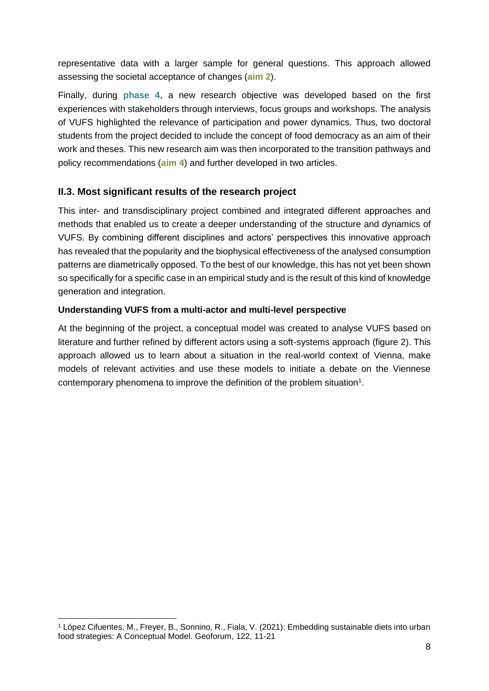representative data with a larger sample for general questions. This approach allowed assessing the societal acceptance of changes (**aim 2**).

Finally, during **phase 4**, a new research objective was developed based on the first experiences with stakeholders through interviews, focus groups and workshops. The analysis of VUFS highlighted the relevance of participation and power dynamics. Thus, two doctoral students from the project decided to include the concept of food democracy as an aim of their work and theses. This new research aim was then incorporated to the transition pathways and policy recommendations (**aim 4**) and further developed in two articles.

## **II.3. Most significant results of the research project**

This inter- and transdisciplinary project combined and integrated different approaches and methods that enabled us to create a deeper understanding of the structure and dynamics of VUFS. By combining different disciplines and actors' perspectives this innovative approach has revealed that the popularity and the biophysical effectiveness of the analysed consumption patterns are diametrically opposed. To the best of our knowledge, this has not yet been shown so specifically for a specific case in an empirical study and is the result of this kind of knowledge generation and integration.

#### **Understanding VUFS from a multi-actor and multi-level perspective**

At the beginning of the project, a conceptual model was created to analyse VUFS based on literature and further refined by different actors using a soft-systems approach (figure 2). This approach allowed us to learn about a situation in the real-world context of Vienna, make models of relevant activities and use these models to initiate a debate on the Viennese contemporary phenomena to improve the definition of the problem situation<sup>1</sup>.

 $\overline{a}$ 

<sup>1</sup> López Cifuentes, M., Freyer, B., Sonnino, R., Fiala, V. (2021): Embedding sustainable diets into urban food strategies: A Conceptual Model. Geoforum, 122, 11-21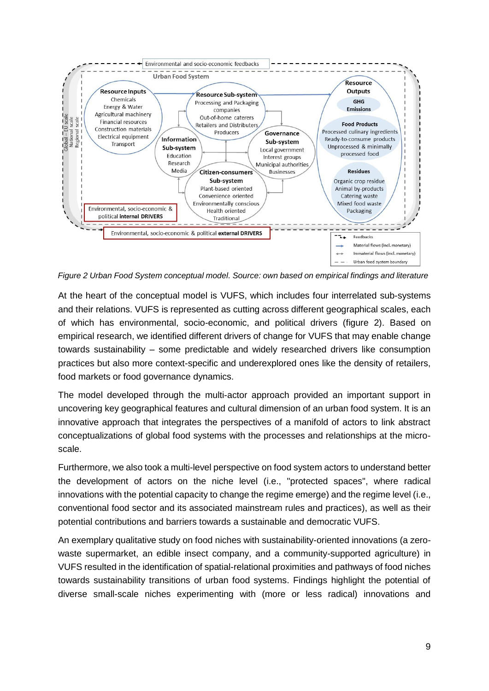

*Figure 2 Urban Food System conceptual model. Source: own based on empirical findings and literature*

At the heart of the conceptual model is VUFS, which includes four interrelated sub-systems and their relations. VUFS is represented as cutting across different geographical scales, each of which has environmental, socio-economic, and political drivers (figure 2). Based on empirical research, we identified different drivers of change for VUFS that may enable change towards sustainability – some predictable and widely researched drivers like consumption practices but also more context-specific and underexplored ones like the density of retailers, food markets or food governance dynamics.

The model developed through the multi-actor approach provided an important support in uncovering key geographical features and cultural dimension of an urban food system. It is an innovative approach that integrates the perspectives of a manifold of actors to link abstract conceptualizations of global food systems with the processes and relationships at the microscale.

Furthermore, we also took a multi-level perspective on food system actors to understand better the development of actors on the niche level (i.e., "protected spaces", where radical innovations with the potential capacity to change the regime emerge) and the regime level (i.e., conventional food sector and its associated mainstream rules and practices), as well as their potential contributions and barriers towards a sustainable and democratic VUFS.

An exemplary qualitative study on food niches with sustainability-oriented innovations (a zerowaste supermarket, an edible insect company, and a community-supported agriculture) in VUFS resulted in the identification of spatial-relational proximities and pathways of food niches towards sustainability transitions of urban food systems. Findings highlight the potential of diverse small-scale niches experimenting with (more or less radical) innovations and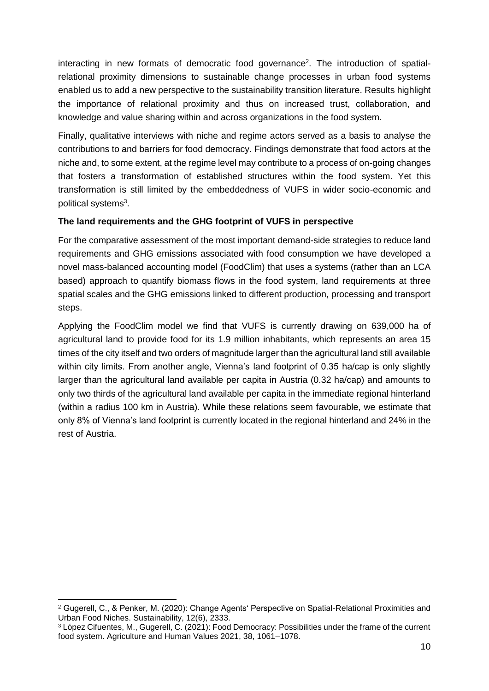interacting in new formats of democratic food governance<sup>2</sup>. The introduction of spatialrelational proximity dimensions to sustainable change processes in urban food systems enabled us to add a new perspective to the sustainability transition literature. Results highlight the importance of relational proximity and thus on increased trust, collaboration, and knowledge and value sharing within and across organizations in the food system.

Finally, qualitative interviews with niche and regime actors served as a basis to analyse the contributions to and barriers for food democracy. Findings demonstrate that food actors at the niche and, to some extent, at the regime level may contribute to a process of on-going changes that fosters a transformation of established structures within the food system. Yet this transformation is still limited by the embeddedness of VUFS in wider socio-economic and political systems<sup>3</sup>.

#### **The land requirements and the GHG footprint of VUFS in perspective**

For the comparative assessment of the most important demand-side strategies to reduce land requirements and GHG emissions associated with food consumption we have developed a novel mass-balanced accounting model (FoodClim) that uses a systems (rather than an LCA based) approach to quantify biomass flows in the food system, land requirements at three spatial scales and the GHG emissions linked to different production, processing and transport steps.

Applying the FoodClim model we find that VUFS is currently drawing on 639,000 ha of agricultural land to provide food for its 1.9 million inhabitants, which represents an area 15 times of the city itself and two orders of magnitude larger than the agricultural land still available within city limits. From another angle, Vienna's land footprint of 0.35 ha/cap is only slightly larger than the agricultural land available per capita in Austria (0.32 ha/cap) and amounts to only two thirds of the agricultural land available per capita in the immediate regional hinterland (within a radius 100 km in Austria). While these relations seem favourable, we estimate that only 8% of Vienna's land footprint is currently located in the regional hinterland and 24% in the rest of Austria.

1

<sup>2</sup> Gugerell, C., & Penker, M. (2020): Change Agents' Perspective on Spatial-Relational Proximities and Urban Food Niches. Sustainability, 12(6), 2333.

<sup>3</sup> López Cifuentes, M., Gugerell, C. (2021): Food Democracy: Possibilities under the frame of the current food system. Agriculture and Human Values 2021, 38, 1061–1078.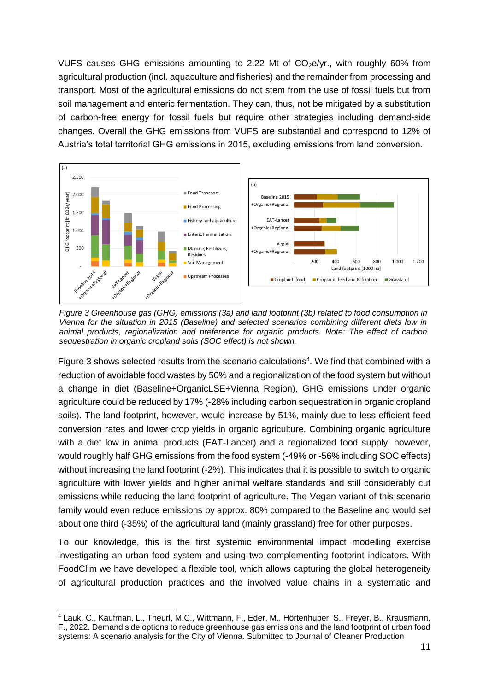VUFS causes GHG emissions amounting to 2.22 Mt of  $CO<sub>2</sub>e/yr$ ., with roughly 60% from agricultural production (incl. aquaculture and fisheries) and the remainder from processing and transport. Most of the agricultural emissions do not stem from the use of fossil fuels but from soil management and enteric fermentation. They can, thus, not be mitigated by a substitution of carbon-free energy for fossil fuels but require other strategies including demand-side changes. Overall the GHG emissions from VUFS are substantial and correspond to 12% of Austria's total territorial GHG emissions in 2015, excluding emissions from land conversion. erie<br>iot<br>ca<br>ire Fishery and aquaculture



sequestration in organic cropland soils (SOC effect) is not shown. animal products, regionalization and preference for organic products. Note: The effect of carbon Vienna for the situation in 2015 (Baseline) and selected scenarios combining different diets low in (b) *Figure 3 Greenhouse gas (GHG) emissions (3a) and land footprint (3b) related to food consumption in* 

Figure 3 shows selected results from the scenario calculations<sup>4</sup>. We find that combined with a reduction of avoidable food wastes by 50% and a regionalization of the food system but without a change in diet (Baseline+OrganicLSE+Vienna Region), GHG emissions under organic agriculture could be reduced by 17% (-28% including carbon sequestration in organic cropland soils). The land footprint, however, would increase by 51%, mainly due to less efficient feed conversion rates and lower crop yields in organic agriculture. Combining organic agriculture with a diet low in animal products (EAT-Lancet) and a regionalized food supply, however, would roughly half GHG emissions from the food system (-49% or -56% including SOC effects) without increasing the land footprint (-2%). This indicates that it is possible to switch to organic agriculture with lower yields and higher animal welfare standards and still considerably cut emissions while reducing the land footprint of agriculture. The Vegan variant of this scenario family would even reduce emissions by approx. 80% compared to the Baseline and would set about one third (-35%) of the agricultural land (mainly grassland) free for other purposes. asciinc forga

To our knowledge, this is the first systemic environmental impact modelling exercise investigating an urban food system and using two complementing footprint indicators. With FoodClim we have developed a flexible tool, which allows capturing the global heterogeneity of agricultural production practices and the involved value chains in a systematic and

-

<sup>4</sup> Lauk, C., Kaufman, L., Theurl, M.C., Wittmann, F., Eder, M., Hörtenhuber, S., Freyer, B., Krausmann, F., 2022. Demand side options to reduce greenhouse gas emissions and the land footprint of urban food systems: A scenario analysis for the City of Vienna. Submitted to Journal of Cleaner Production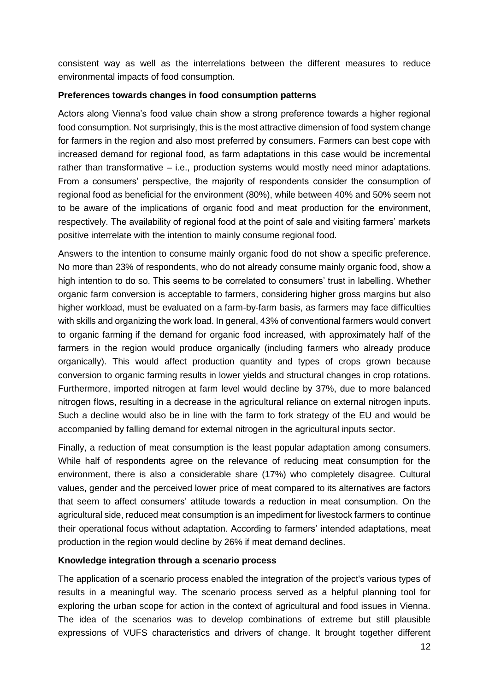consistent way as well as the interrelations between the different measures to reduce environmental impacts of food consumption.

#### **Preferences towards changes in food consumption patterns**

Actors along Vienna's food value chain show a strong preference towards a higher regional food consumption. Not surprisingly, this is the most attractive dimension of food system change for farmers in the region and also most preferred by consumers. Farmers can best cope with increased demand for regional food, as farm adaptations in this case would be incremental rather than transformative – i.e., production systems would mostly need minor adaptations. From a consumers' perspective, the majority of respondents consider the consumption of regional food as beneficial for the environment (80%), while between 40% and 50% seem not to be aware of the implications of organic food and meat production for the environment, respectively. The availability of regional food at the point of sale and visiting farmers' markets positive interrelate with the intention to mainly consume regional food.

Answers to the intention to consume mainly organic food do not show a specific preference. No more than 23% of respondents, who do not already consume mainly organic food, show a high intention to do so. This seems to be correlated to consumers' trust in labelling. Whether organic farm conversion is acceptable to farmers, considering higher gross margins but also higher workload, must be evaluated on a farm-by-farm basis, as farmers may face difficulties with skills and organizing the work load. In general, 43% of conventional farmers would convert to organic farming if the demand for organic food increased, with approximately half of the farmers in the region would produce organically (including farmers who already produce organically). This would affect production quantity and types of crops grown because conversion to organic farming results in lower yields and structural changes in crop rotations. Furthermore, imported nitrogen at farm level would decline by 37%, due to more balanced nitrogen flows, resulting in a decrease in the agricultural reliance on external nitrogen inputs. Such a decline would also be in line with the farm to fork strategy of the EU and would be accompanied by falling demand for external nitrogen in the agricultural inputs sector.

Finally, a reduction of meat consumption is the least popular adaptation among consumers. While half of respondents agree on the relevance of reducing meat consumption for the environment, there is also a considerable share (17%) who completely disagree. Cultural values, gender and the perceived lower price of meat compared to its alternatives are factors that seem to affect consumers' attitude towards a reduction in meat consumption. On the agricultural side, reduced meat consumption is an impediment for livestock farmers to continue their operational focus without adaptation. According to farmers' intended adaptations, meat production in the region would decline by 26% if meat demand declines.

#### **Knowledge integration through a scenario process**

The application of a scenario process enabled the integration of the project's various types of results in a meaningful way. The scenario process served as a helpful planning tool for exploring the urban scope for action in the context of agricultural and food issues in Vienna. The idea of the scenarios was to develop combinations of extreme but still plausible expressions of VUFS characteristics and drivers of change. It brought together different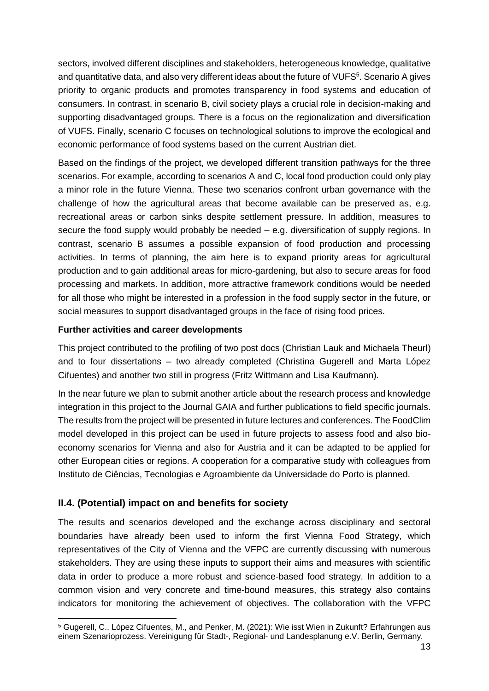sectors, involved different disciplines and stakeholders, heterogeneous knowledge, qualitative and quantitative data, and also very different ideas about the future of VUFS<sup>5</sup>. Scenario A gives priority to organic products and promotes transparency in food systems and education of consumers. In contrast, in scenario B, civil society plays a crucial role in decision-making and supporting disadvantaged groups. There is a focus on the regionalization and diversification of VUFS. Finally, scenario C focuses on technological solutions to improve the ecological and economic performance of food systems based on the current Austrian diet.

Based on the findings of the project, we developed different transition pathways for the three scenarios. For example, according to scenarios A and C, local food production could only play a minor role in the future Vienna. These two scenarios confront urban governance with the challenge of how the agricultural areas that become available can be preserved as, e.g. recreational areas or carbon sinks despite settlement pressure. In addition, measures to secure the food supply would probably be needed – e.g. diversification of supply regions. In contrast, scenario B assumes a possible expansion of food production and processing activities. In terms of planning, the aim here is to expand priority areas for agricultural production and to gain additional areas for micro-gardening, but also to secure areas for food processing and markets. In addition, more attractive framework conditions would be needed for all those who might be interested in a profession in the food supply sector in the future, or social measures to support disadvantaged groups in the face of rising food prices.

#### **Further activities and career developments**

This project contributed to the profiling of two post docs (Christian Lauk and Michaela Theurl) and to four dissertations – two already completed (Christina Gugerell and Marta López Cifuentes) and another two still in progress (Fritz Wittmann and Lisa Kaufmann).

In the near future we plan to submit another article about the research process and knowledge integration in this project to the Journal GAIA and further publications to field specific journals. The results from the project will be presented in future lectures and conferences. The FoodClim model developed in this project can be used in future projects to assess food and also bioeconomy scenarios for Vienna and also for Austria and it can be adapted to be applied for other European cities or regions. A cooperation for a comparative study with colleagues from Instituto de Ciências, Tecnologias e Agroambiente da Universidade do Porto is planned.

## **II.4. (Potential) impact on and benefits for society**

The results and scenarios developed and the exchange across disciplinary and sectoral boundaries have already been used to inform the first Vienna Food Strategy, which representatives of the City of Vienna and the VFPC are currently discussing with numerous stakeholders. They are using these inputs to support their aims and measures with scientific data in order to produce a more robust and science-based food strategy. In addition to a common vision and very concrete and time-bound measures, this strategy also contains indicators for monitoring the achievement of objectives. The collaboration with the VFPC

 $\overline{a}$ <sup>5</sup> Gugerell, C., López Cifuentes, M., and Penker, M. (2021): Wie isst Wien in Zukunft? Erfahrungen aus einem Szenarioprozess. Vereinigung für Stadt-, Regional- und Landesplanung e.V. Berlin, Germany.